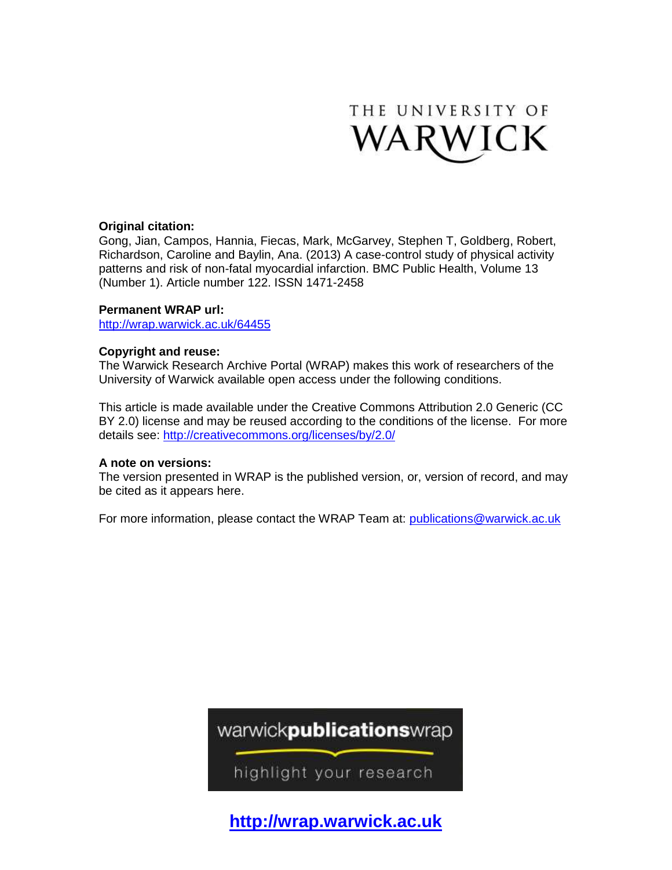

# **Original citation:**

Gong, Jian, Campos, Hannia, Fiecas, Mark, McGarvey, Stephen T, Goldberg, Robert, Richardson, Caroline and Baylin, Ana. (2013) A case-control study of physical activity patterns and risk of non-fatal myocardial infarction. BMC Public Health, Volume 13 (Number 1). Article number 122. ISSN 1471-2458

# **Permanent WRAP url:**

<http://wrap.warwick.ac.uk/64455>

# **Copyright and reuse:**

The Warwick Research Archive Portal (WRAP) makes this work of researchers of the University of Warwick available open access under the following conditions.

This article is made available under the Creative Commons Attribution 2.0 Generic (CC BY 2.0) license and may be reused according to the conditions of the license. For more details see: <http://creativecommons.org/licenses/by/2.0/>

# **A note on versions:**

The version presented in WRAP is the published version, or, version of record, and may be cited as it appears here.

For more information, please contact the WRAP Team at: [publications@warwick.ac.uk](mailto:publications@warwick.ac.uk)



highlight your research

**[http://wrap.warwick.ac.uk](http://wrap.warwick.ac.uk/)**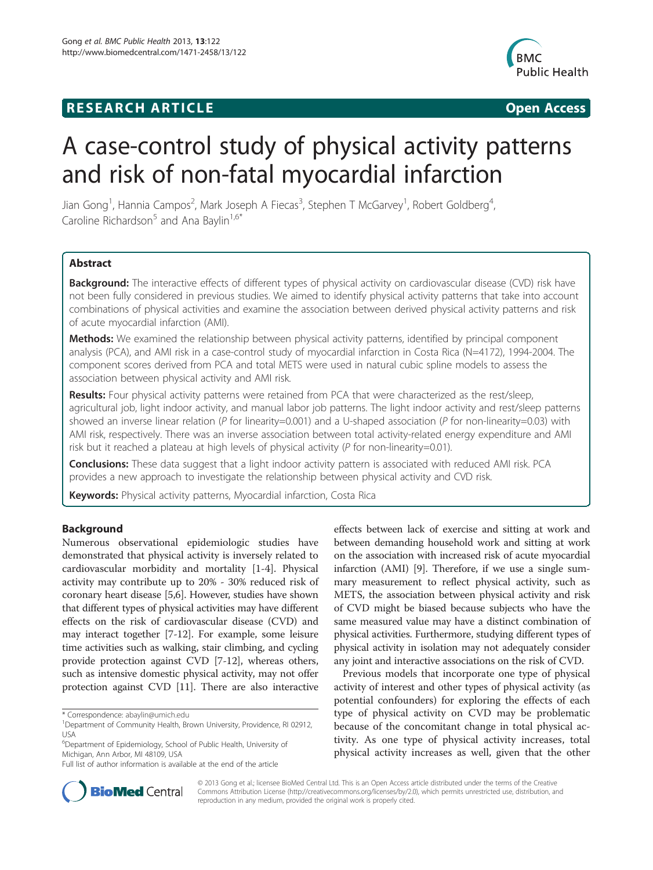# **RESEARCH ARTICLE Example 2014 CONSUMING A RESEARCH ARTICLE**



# A case-control study of physical activity patterns and risk of non-fatal myocardial infarction

Jian Gong<sup>1</sup>, Hannia Campos<sup>2</sup>, Mark Joseph A Fiecas<sup>3</sup>, Stephen T McGarvey<sup>1</sup>, Robert Goldberg<sup>4</sup> , Caroline Richardson<sup>5</sup> and Ana Baylin<sup>1,6\*</sup>

# Abstract

Background: The interactive effects of different types of physical activity on cardiovascular disease (CVD) risk have not been fully considered in previous studies. We aimed to identify physical activity patterns that take into account combinations of physical activities and examine the association between derived physical activity patterns and risk of acute myocardial infarction (AMI).

Methods: We examined the relationship between physical activity patterns, identified by principal component analysis (PCA), and AMI risk in a case-control study of myocardial infarction in Costa Rica (N=4172), 1994-2004. The component scores derived from PCA and total METS were used in natural cubic spline models to assess the association between physical activity and AMI risk.

Results: Four physical activity patterns were retained from PCA that were characterized as the rest/sleep, agricultural job, light indoor activity, and manual labor job patterns. The light indoor activity and rest/sleep patterns showed an inverse linear relation (P for linearity=0.001) and a U-shaped association (P for non-linearity=0.03) with AMI risk, respectively. There was an inverse association between total activity-related energy expenditure and AMI risk but it reached a plateau at high levels of physical activity ( $P$  for non-linearity=0.01).

**Conclusions:** These data suggest that a light indoor activity pattern is associated with reduced AMI risk. PCA provides a new approach to investigate the relationship between physical activity and CVD risk.

Keywords: Physical activity patterns, Myocardial infarction, Costa Rica

## Background

Numerous observational epidemiologic studies have demonstrated that physical activity is inversely related to cardiovascular morbidity and mortality [\[1](#page-9-0)-[4\]](#page-9-0). Physical activity may contribute up to 20% - 30% reduced risk of coronary heart disease [\[5,6\]](#page-9-0). However, studies have shown that different types of physical activities may have different effects on the risk of cardiovascular disease (CVD) and may interact together [\[7](#page-9-0)-[12](#page-9-0)]. For example, some leisure time activities such as walking, stair climbing, and cycling provide protection against CVD [\[7](#page-9-0)-[12](#page-9-0)], whereas others, such as intensive domestic physical activity, may not offer protection against CVD [[11](#page-9-0)]. There are also interactive

\* Correspondence: [abaylin@umich.edu](mailto:abaylin@umich.edu) <sup>1</sup>

6 Department of Epidemiology, School of Public Health, University of Michigan, Ann Arbor, MI 48109, USA

effects between lack of exercise and sitting at work and between demanding household work and sitting at work on the association with increased risk of acute myocardial infarction (AMI) [\[9](#page-9-0)]. Therefore, if we use a single summary measurement to reflect physical activity, such as METS, the association between physical activity and risk of CVD might be biased because subjects who have the same measured value may have a distinct combination of physical activities. Furthermore, studying different types of physical activity in isolation may not adequately consider any joint and interactive associations on the risk of CVD.

Previous models that incorporate one type of physical activity of interest and other types of physical activity (as potential confounders) for exploring the effects of each type of physical activity on CVD may be problematic because of the concomitant change in total physical activity. As one type of physical activity increases, total physical activity increases as well, given that the other



© 2013 Gong et al.; licensee BioMed Central Ltd. This is an Open Access article distributed under the terms of the Creative Commons Attribution License [\(http://creativecommons.org/licenses/by/2.0\)](http://creativecommons.org/licenses/by/2.0), which permits unrestricted use, distribution, and reproduction in any medium, provided the original work is properly cited.

<sup>&</sup>lt;sup>1</sup>Department of Community Health, Brown University, Providence, RI 02912, USA

Full list of author information is available at the end of the article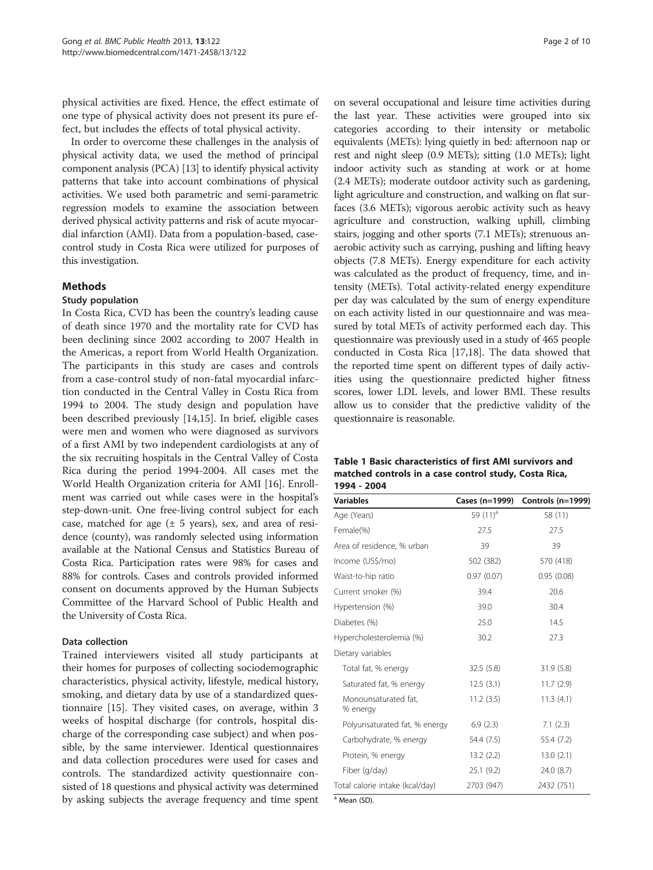<span id="page-2-0"></span>physical activities are fixed. Hence, the effect estimate of one type of physical activity does not present its pure effect, but includes the effects of total physical activity.

In order to overcome these challenges in the analysis of physical activity data, we used the method of principal component analysis (PCA) [\[13\]](#page-9-0) to identify physical activity patterns that take into account combinations of physical activities. We used both parametric and semi-parametric regression models to examine the association between derived physical activity patterns and risk of acute myocardial infarction (AMI). Data from a population-based, casecontrol study in Costa Rica were utilized for purposes of this investigation.

## Methods

#### Study population

In Costa Rica, CVD has been the country's leading cause of death since 1970 and the mortality rate for CVD has been declining since 2002 according to 2007 Health in the Americas, a report from World Health Organization. The participants in this study are cases and controls from a case-control study of non-fatal myocardial infarction conducted in the Central Valley in Costa Rica from 1994 to 2004. The study design and population have been described previously [\[14,15\]](#page-9-0). In brief, eligible cases were men and women who were diagnosed as survivors of a first AMI by two independent cardiologists at any of the six recruiting hospitals in the Central Valley of Costa Rica during the period 1994-2004. All cases met the World Health Organization criteria for AMI [[16](#page-9-0)]. Enrollment was carried out while cases were in the hospital's step-down-unit. One free-living control subject for each case, matched for age  $(± 5 \text{ years})$ , sex, and area of residence (county), was randomly selected using information available at the National Census and Statistics Bureau of Costa Rica. Participation rates were 98% for cases and 88% for controls. Cases and controls provided informed consent on documents approved by the Human Subjects Committee of the Harvard School of Public Health and the University of Costa Rica.

#### Data collection

Trained interviewers visited all study participants at their homes for purposes of collecting sociodemographic characteristics, physical activity, lifestyle, medical history, smoking, and dietary data by use of a standardized questionnaire [[15\]](#page-9-0). They visited cases, on average, within 3 weeks of hospital discharge (for controls, hospital discharge of the corresponding case subject) and when possible, by the same interviewer. Identical questionnaires and data collection procedures were used for cases and controls. The standardized activity questionnaire consisted of 18 questions and physical activity was determined by asking subjects the average frequency and time spent

on several occupational and leisure time activities during the last year. These activities were grouped into six categories according to their intensity or metabolic equivalents (METs): lying quietly in bed: afternoon nap or rest and night sleep (0.9 METs); sitting (1.0 METs); light indoor activity such as standing at work or at home (2.4 METs); moderate outdoor activity such as gardening, light agriculture and construction, and walking on flat surfaces (3.6 METs); vigorous aerobic activity such as heavy agriculture and construction, walking uphill, climbing stairs, jogging and other sports (7.1 METs); strenuous anaerobic activity such as carrying, pushing and lifting heavy objects (7.8 METs). Energy expenditure for each activity was calculated as the product of frequency, time, and intensity (METs). Total activity-related energy expenditure per day was calculated by the sum of energy expenditure on each activity listed in our questionnaire and was measured by total METs of activity performed each day. This questionnaire was previously used in a study of 465 people conducted in Costa Rica [\[17,18\]](#page-9-0). The data showed that the reported time spent on different types of daily activities using the questionnaire predicted higher fitness scores, lower LDL levels, and lower BMI. These results allow us to consider that the predictive validity of the questionnaire is reasonable.

| Table 1 Basic characteristics of first AMI survivors and |
|----------------------------------------------------------|
| matched controls in a case control study, Costa Rica,    |
| 1994 - 2004                                              |

| <b>Variables</b>                 | Cases (n=1999) | Controls (n=1999) |
|----------------------------------|----------------|-------------------|
| Age (Years)                      | 59 $(11)^a$    | 58 (11)           |
| Female(%)                        | 27.5           | 27.5              |
| Area of residence, % urban       | 39             | 39                |
| Income (US\$/mo)                 | 502 (382)      | 570 (418)         |
| Waist-to-hip ratio               | 0.97(0.07)     | 0.95(0.08)        |
| Current smoker (%)               | 39.4           | 20.6              |
| Hypertension (%)                 | 39.0           | 30.4              |
| Diabetes (%)                     | 25.0           | 14.5              |
| Hypercholesterolemia (%)         | 30.2           | 27.3              |
| Dietary variables                |                |                   |
| Total fat, % energy              | 32.5(5.8)      | 31.9(5.8)         |
| Saturated fat, % energy          | 12.5(3.1)      | 11.7(2.9)         |
| Monounsaturated fat,<br>% energy | 11.2(3.5)      | 11.3(4.1)         |
| Polyunsaturated fat, % energy    | 6.9(2.3)       | 7.1(2.3)          |
| Carbohydrate, % energy           | 54.4 (7.5)     | 55.4 (7.2)        |
| Protein, % energy                | 13.2(2.2)      | 13.0(2.1)         |
| Fiber (g/day)                    | 25.1(9.2)      | 24.0(8.7)         |
| Total calorie intake (kcal/day)  | 2703 (947)     | 2432 (751)        |

<sup>a</sup> Mean (SD).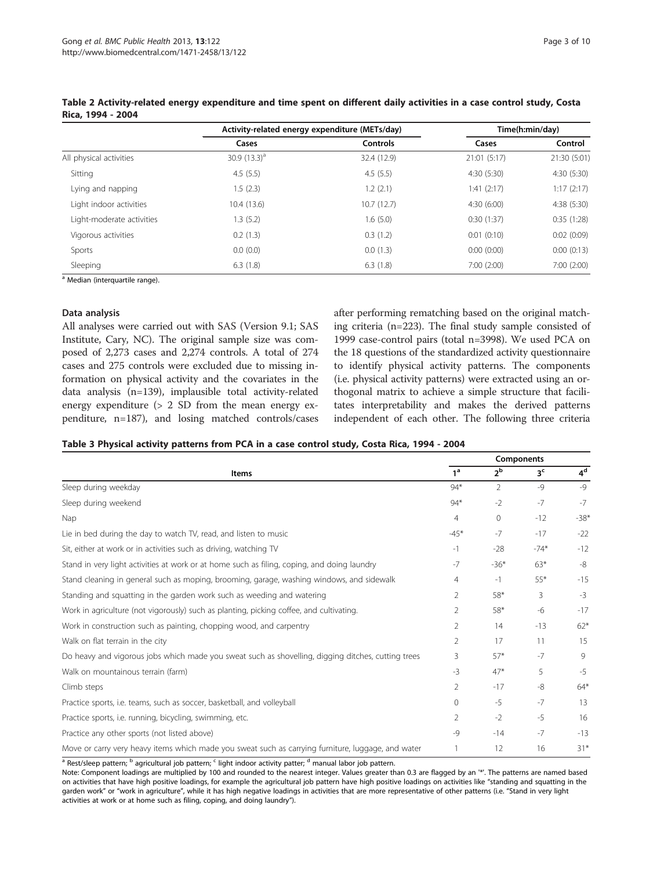| Page 3 of 10 |  |  |
|--------------|--|--|
|              |  |  |
|              |  |  |

|                           |                 | Activity-related energy expenditure (METs/day)<br>Time(h:min/day) |             |              |  |
|---------------------------|-----------------|-------------------------------------------------------------------|-------------|--------------|--|
|                           | Cases           | <b>Controls</b>                                                   | Cases       | Control      |  |
| All physical activities   | 30.9 $(13.3)^a$ | 32.4 (12.9)                                                       | 21:01(5:17) | 21:30 (5:01) |  |
| Sitting                   | 4.5(5.5)        | 4.5(5.5)                                                          | 4:30(5:30)  | 4:30(5:30)   |  |
| Lying and napping         | 1.5(2.3)        | 1.2(2.1)                                                          | 1:41(2:17)  | 1:17(2:17)   |  |
| Light indoor activities   | 10.4(13.6)      | 10.7(12.7)                                                        | 4:30(6:00)  | 4:38(5:30)   |  |
| Light-moderate activities | 1.3(5.2)        | 1.6(5.0)                                                          | 0:30(1:37)  | 0:35(1:28)   |  |
| Vigorous activities       | 0.2(1.3)        | 0.3(1.2)                                                          | 0:01(0:10)  | 0:02(0:09)   |  |
| Sports                    | 0.0(0.0)        | 0.0(1.3)                                                          | 0:00(0:00)  | 0:00(0:13)   |  |
| Sleeping                  | 6.3(1.8)        | 6.3(1.8)                                                          | 7:00(2:00)  | 7:00(2:00)   |  |

<span id="page-3-0"></span>Table 2 Activity-related energy expenditure and time spent on different daily activities in a case control study, Costa Rica, 1994 - 2004

a Median (interquartile range).

## Data analysis

All analyses were carried out with SAS (Version 9.1; SAS Institute, Cary, NC). The original sample size was composed of 2,273 cases and 2,274 controls. A total of 274 cases and 275 controls were excluded due to missing information on physical activity and the covariates in the data analysis (n=139), implausible total activity-related energy expenditure (> 2 SD from the mean energy expenditure, n=187), and losing matched controls/cases after performing rematching based on the original matching criteria (n=223). The final study sample consisted of 1999 case-control pairs (total n=3998). We used PCA on the 18 questions of the standardized activity questionnaire to identify physical activity patterns. The components (i.e. physical activity patterns) were extracted using an orthogonal matrix to achieve a simple structure that facilitates interpretability and makes the derived patterns independent of each other. The following three criteria

|  |  |  |  | Table 3 Physical activity patterns from PCA in a case control study, Costa Rica, 1994 - 2004 |  |  |  |
|--|--|--|--|----------------------------------------------------------------------------------------------|--|--|--|
|--|--|--|--|----------------------------------------------------------------------------------------------|--|--|--|

|                                                                                                    |                |             | Components     |                |
|----------------------------------------------------------------------------------------------------|----------------|-------------|----------------|----------------|
| Items                                                                                              | 1 <sup>a</sup> | $2^{\sf b}$ | 3 <sup>c</sup> | 4 <sup>d</sup> |
| Sleep during weekday                                                                               | $94*$          | 2           | $-9$           | $-Q$           |
| Sleep during weekend                                                                               | $94*$          | $-2$        | $-7$           | $-7$           |
| Nap                                                                                                | 4              | $\Omega$    | $-12$          | $-38*$         |
| Lie in bed during the day to watch TV, read, and listen to music                                   | $-45*$         | $-7$        | $-17$          | $-22$          |
| Sit, either at work or in activities such as driving, watching TV                                  | $-1$           | $-28$       | $-74*$         | $-12$          |
| Stand in very light activities at work or at home such as filing, coping, and doing laundry        | $-7$           | $-36*$      | $63*$          | $-8$           |
| Stand cleaning in general such as moping, brooming, garage, washing windows, and sidewalk          | 4              | $-1$        | 55*            | $-15$          |
| Standing and squatting in the garden work such as weeding and watering                             | $\overline{2}$ | 58*         | 3              | $-3$           |
| Work in agriculture (not vigorously) such as planting, picking coffee, and cultivating.            | $\overline{2}$ | 58*         | $-6$           | $-17$          |
| Work in construction such as painting, chopping wood, and carpentry                                | 2              | 14          | $-13$          | $62*$          |
| Walk on flat terrain in the city                                                                   | $\overline{2}$ | 17          | 11             | 15             |
| Do heavy and vigorous jobs which made you sweat such as shovelling, digging ditches, cutting trees | 3              | 57*         | $-7$           | 9              |
| Walk on mountainous terrain (farm)                                                                 | $-3$           | $47*$       | 5              | $-5$           |
| Climb steps                                                                                        | 2              | $-17$       | -8             | $64*$          |
| Practice sports, i.e. teams, such as soccer, basketball, and volleyball                            | $\Omega$       | $-5$        | $-7$           | 13             |
| Practice sports, i.e. running, bicycling, swimming, etc.                                           | 2              | $-2$        | $-5$           | 16             |
| Practice any other sports (not listed above)                                                       | $-9$           | $-14$       | $-7$           | $-13$          |
| Move or carry very heavy items which made you sweat such as carrying furniture, luggage, and water |                | 12          | 16             | $31*$          |

<sup>a</sup> Rest/sleep pattern; <sup>b</sup> agricultural job pattern; <sup>c</sup> light indoor activity patter; <sup>d</sup> manual labor job pattern.

Note: Component loadings are multiplied by 100 and rounded to the nearest integer. Values greater than 0.3 are flagged by an '\*'. The patterns are named based on activities that have high positive loadings, for example the agricultural job pattern have high positive loadings on activities like "standing and squatting in the garden work" or "work in agriculture", while it has high negative loadings in activities that are more representative of other patterns (i.e. "Stand in very light activities at work or at home such as filing, coping, and doing laundry").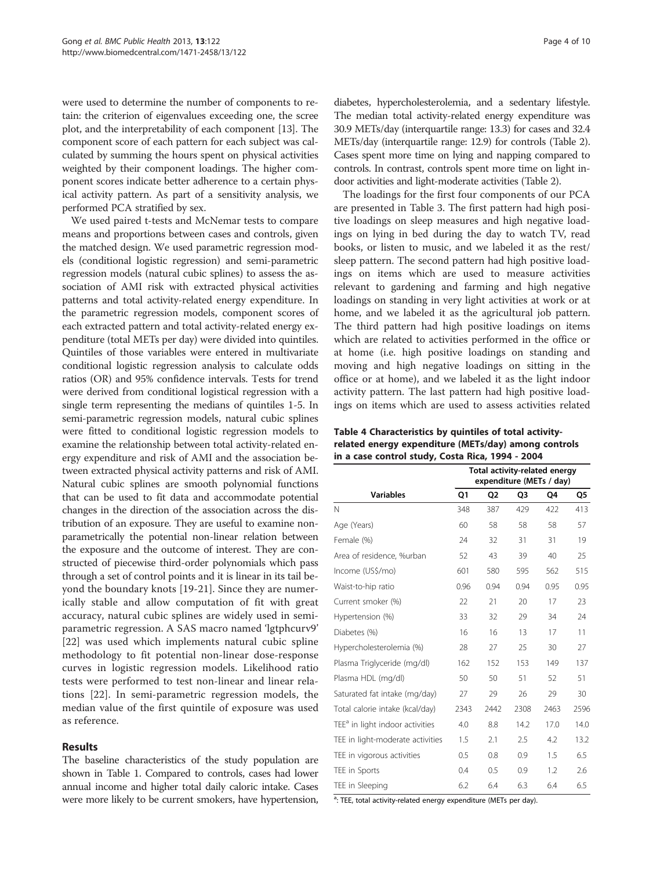<span id="page-4-0"></span>were used to determine the number of components to retain: the criterion of eigenvalues exceeding one, the scree plot, and the interpretability of each component [[13](#page-9-0)]. The component score of each pattern for each subject was calculated by summing the hours spent on physical activities weighted by their component loadings. The higher component scores indicate better adherence to a certain physical activity pattern. As part of a sensitivity analysis, we performed PCA stratified by sex.

We used paired t-tests and McNemar tests to compare means and proportions between cases and controls, given the matched design. We used parametric regression models (conditional logistic regression) and semi-parametric regression models (natural cubic splines) to assess the association of AMI risk with extracted physical activities patterns and total activity-related energy expenditure. In the parametric regression models, component scores of each extracted pattern and total activity-related energy expenditure (total METs per day) were divided into quintiles. Quintiles of those variables were entered in multivariate conditional logistic regression analysis to calculate odds ratios (OR) and 95% confidence intervals. Tests for trend were derived from conditional logistical regression with a single term representing the medians of quintiles 1-5. In semi-parametric regression models, natural cubic splines were fitted to conditional logistic regression models to examine the relationship between total activity-related energy expenditure and risk of AMI and the association between extracted physical activity patterns and risk of AMI. Natural cubic splines are smooth polynomial functions that can be used to fit data and accommodate potential changes in the direction of the association across the distribution of an exposure. They are useful to examine nonparametrically the potential non-linear relation between the exposure and the outcome of interest. They are constructed of piecewise third-order polynomials which pass through a set of control points and it is linear in its tail beyond the boundary knots [[19-21\]](#page-9-0). Since they are numerically stable and allow computation of fit with great accuracy, natural cubic splines are widely used in semiparametric regression. A SAS macro named 'lgtphcurv9' [[22\]](#page-9-0) was used which implements natural cubic spline methodology to fit potential non-linear dose-response curves in logistic regression models. Likelihood ratio tests were performed to test non-linear and linear relations [\[22](#page-9-0)]. In semi-parametric regression models, the median value of the first quintile of exposure was used as reference.

## Results

The baseline characteristics of the study population are shown in Table [1.](#page-2-0) Compared to controls, cases had lower annual income and higher total daily caloric intake. Cases were more likely to be current smokers, have hypertension,

diabetes, hypercholesterolemia, and a sedentary lifestyle. The median total activity-related energy expenditure was 30.9 METs/day (interquartile range: 13.3) for cases and 32.4 METs/day (interquartile range: 12.9) for controls (Table [2](#page-3-0)). Cases spent more time on lying and napping compared to controls. In contrast, controls spent more time on light indoor activities and light-moderate activities (Table [2](#page-3-0)).

The loadings for the first four components of our PCA are presented in Table [3.](#page-3-0) The first pattern had high positive loadings on sleep measures and high negative loadings on lying in bed during the day to watch TV, read books, or listen to music, and we labeled it as the rest/ sleep pattern. The second pattern had high positive loadings on items which are used to measure activities relevant to gardening and farming and high negative loadings on standing in very light activities at work or at home, and we labeled it as the agricultural job pattern. The third pattern had high positive loadings on items which are related to activities performed in the office or at home (i.e. high positive loadings on standing and moving and high negative loadings on sitting in the office or at home), and we labeled it as the light indoor activity pattern. The last pattern had high positive loadings on items which are used to assess activities related

Table 4 Characteristics by quintiles of total activityrelated energy expenditure (METs/day) among controls in a case control study, Costa Rica, 1994 - 2004

|                                             | Total activity-related energy<br>expenditure (METs / day) |                |      |      |      |  |
|---------------------------------------------|-----------------------------------------------------------|----------------|------|------|------|--|
| <b>Variables</b>                            | 01                                                        | O <sub>2</sub> | Q3   | O4   | Q5   |  |
| N                                           | 348                                                       | 387            | 429  | 422  | 413  |  |
| Age (Years)                                 | 60                                                        | 58             | 58   | 58   | 57   |  |
| Female (%)                                  | 24                                                        | 32             | 31   | 31   | 19   |  |
| Area of residence, %urban                   | 52                                                        | 43             | 39   | 40   | 25   |  |
| Income (US\$/mo)                            | 601                                                       | 580            | 595  | 562  | 515  |  |
| Waist-to-hip ratio                          | 0.96                                                      | 0.94           | 0.94 | 0.95 | 0.95 |  |
| Current smoker (%)                          | 22                                                        | 21             | 20   | 17   | 23   |  |
| Hypertension (%)                            | 33                                                        | 32             | 29   | 34   | 24   |  |
| Diabetes (%)                                | 16                                                        | 16             | 13   | 17   | 11   |  |
| Hypercholesterolemia (%)                    | 28                                                        | 27             | 25   | 30   | 27   |  |
| Plasma Triglyceride (mg/dl)                 | 162                                                       | 152            | 153  | 149  | 137  |  |
| Plasma HDL (mg/dl)                          | 50                                                        | 50             | 51   | 52   | 51   |  |
| Saturated fat intake (mg/day)               | 27                                                        | 29             | 26   | 29   | 30   |  |
| Total calorie intake (kcal/day)             | 2343                                                      | 2442           | 2308 | 2463 | 2596 |  |
| TEE <sup>d</sup> in light indoor activities | 4.0                                                       | 8.8            | 14.2 | 17.0 | 14.0 |  |
| TEE in light-moderate activities            | 1.5                                                       | 2.1            | 2.5  | 4.2  | 13.2 |  |
| TEE in vigorous activities                  | 0.5                                                       | 0.8            | 0.9  | 1.5  | 6.5  |  |
| TEE in Sports                               | 0.4                                                       | 0.5            | 0.9  | 1.2  | 2.6  |  |
| TEE in Sleeping                             | 6.2                                                       | 6.4            | 6.3  | 6.4  | 6.5  |  |

<sup>a</sup>: TEE, total activity-related energy expenditure (METs per day).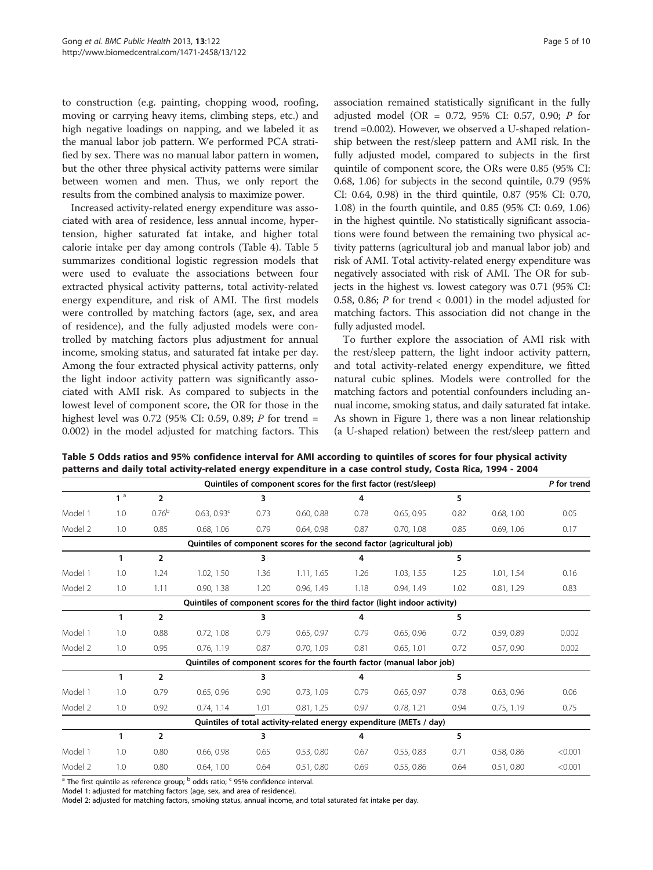to construction (e.g. painting, chopping wood, roofing, moving or carrying heavy items, climbing steps, etc.) and high negative loadings on napping, and we labeled it as the manual labor job pattern. We performed PCA stratified by sex. There was no manual labor pattern in women, but the other three physical activity patterns were similar between women and men. Thus, we only report the results from the combined analysis to maximize power.

Increased activity-related energy expenditure was associated with area of residence, less annual income, hypertension, higher saturated fat intake, and higher total calorie intake per day among controls (Table [4](#page-4-0)). Table 5 summarizes conditional logistic regression models that were used to evaluate the associations between four extracted physical activity patterns, total activity-related energy expenditure, and risk of AMI. The first models were controlled by matching factors (age, sex, and area of residence), and the fully adjusted models were controlled by matching factors plus adjustment for annual income, smoking status, and saturated fat intake per day. Among the four extracted physical activity patterns, only the light indoor activity pattern was significantly associated with AMI risk. As compared to subjects in the lowest level of component score, the OR for those in the highest level was 0.72 (95% CI: 0.59, 0.89; P for trend = 0.002) in the model adjusted for matching factors. This

association remained statistically significant in the fully adjusted model (OR = 0.72, 95% CI: 0.57, 0.90; P for trend =0.002). However, we observed a U-shaped relationship between the rest/sleep pattern and AMI risk. In the fully adjusted model, compared to subjects in the first quintile of component score, the ORs were 0.85 (95% CI: 0.68, 1.06) for subjects in the second quintile, 0.79 (95% CI: 0.64, 0.98) in the third quintile, 0.87 (95% CI: 0.70, 1.08) in the fourth quintile, and 0.85 (95% CI: 0.69, 1.06) in the highest quintile. No statistically significant associations were found between the remaining two physical activity patterns (agricultural job and manual labor job) and risk of AMI. Total activity-related energy expenditure was negatively associated with risk of AMI. The OR for subjects in the highest vs. lowest category was 0.71 (95% CI: 0.58, 0.86; P for trend < 0.001) in the model adjusted for matching factors. This association did not change in the fully adjusted model.

To further explore the association of AMI risk with the rest/sleep pattern, the light indoor activity pattern, and total activity-related energy expenditure, we fitted natural cubic splines. Models were controlled for the matching factors and potential confounders including annual income, smoking status, and daily saturated fat intake. As shown in Figure [1](#page-6-0), there was a non linear relationship (a U-shaped relation) between the rest/sleep pattern and

Table 5 Odds ratios and 95% confidence interval for AMI according to quintiles of scores for four physical activity patterns and daily total activity-related energy expenditure in a case control study, Costa Rica, 1994 - 2004

|         |                |                   |                                                                            |      |            |      | Quintiles of component scores for the first factor (rest/sleep)        |      |            | P for trend |
|---------|----------------|-------------------|----------------------------------------------------------------------------|------|------------|------|------------------------------------------------------------------------|------|------------|-------------|
|         | 1 <sup>a</sup> | $\overline{2}$    |                                                                            | 3.   |            | 4    |                                                                        | 5    |            |             |
| Model 1 | 1.0            | 0.76 <sup>b</sup> | $0.63, 0.93^c$                                                             | 0.73 | 0.60, 0.88 | 0.78 | 0.65, 0.95                                                             | 0.82 | 0.68.1.00  | 0.05        |
| Model 2 | 1.0            | 0.85              | 0.68, 1.06                                                                 | 0.79 | 0.64, 0.98 | 0.87 | 0.70, 1.08                                                             | 0.85 | 0.69, 1.06 | 0.17        |
|         |                |                   |                                                                            |      |            |      | Quintiles of component scores for the second factor (agricultural job) |      |            |             |
|         | 1              | $\overline{2}$    |                                                                            | 3    |            | 4    |                                                                        | 5    |            |             |
| Model 1 | 1.0            | 1.24              | 1.02, 1.50                                                                 | 1.36 | 1.11, 1.65 | 1.26 | 1.03, 1.55                                                             | 1.25 | 1.01, 1.54 | 0.16        |
| Model 2 | 1.0            | 1.11              | 0.90, 1.38                                                                 | 1.20 | 0.96, 1.49 | 1.18 | 0.94, 1.49                                                             | 1.02 | 0.81, 1.29 | 0.83        |
|         |                |                   | Quintiles of component scores for the third factor (light indoor activity) |      |            |      |                                                                        |      |            |             |
|         | 1              | $\overline{2}$    |                                                                            | 3    |            | 4    |                                                                        | 5    |            |             |
| Model 1 | 1.0            | 0.88              | 0.72, 1.08                                                                 | 0.79 | 0.65, 0.97 | 0.79 | 0.65, 0.96                                                             | 0.72 | 0.59, 0.89 | 0.002       |
| Model 2 | 1.0            | 0.95              | 0.76, 1.19                                                                 | 0.87 | 0.70, 1.09 | 0.81 | 0.65, 1.01                                                             | 0.72 | 0.57, 0.90 | 0.002       |
|         |                |                   |                                                                            |      |            |      | Quintiles of component scores for the fourth factor (manual labor job) |      |            |             |
|         | 1              | $\overline{2}$    |                                                                            | 3    |            | 4    |                                                                        | 5    |            |             |
| Model 1 | 1.0            | 0.79              | 0.65.0.96                                                                  | 0.90 | 0.73.1.09  | 0.79 | 0.65, 0.97                                                             | 0.78 | 0.63, 0.96 | 0.06        |
| Model 2 | 1.0            | 0.92              | 0.74, 1.14                                                                 | 1.01 | 0.81, 1.25 | 0.97 | 0.78, 1.21                                                             | 0.94 | 0.75, 1.19 | 0.75        |
|         |                |                   |                                                                            |      |            |      | Quintiles of total activity-related energy expenditure (METs / day)    |      |            |             |
|         | 1              | $\overline{2}$    |                                                                            | 3    |            | 4    |                                                                        | 5    |            |             |
| Model 1 | 1.0            | 0.80              | 0.66, 0.98                                                                 | 0.65 | 0.53, 0.80 | 0.67 | 0.55, 0.83                                                             | 0.71 | 0.58, 0.86 | < 0.001     |
| Model 2 | 1.0            | 0.80              | 0.64, 1.00                                                                 | 0.64 | 0.51, 0.80 | 0.69 | 0.55, 0.86                                                             | 0.64 | 0.51, 0.80 | < 0.001     |

 $a$  The first quintile as reference group;  $b$  odds ratio;  $c$  95% confidence interval.

Model 1: adjusted for matching factors (age, sex, and area of residence).

Model 2: adjusted for matching factors, smoking status, annual income, and total saturated fat intake per day.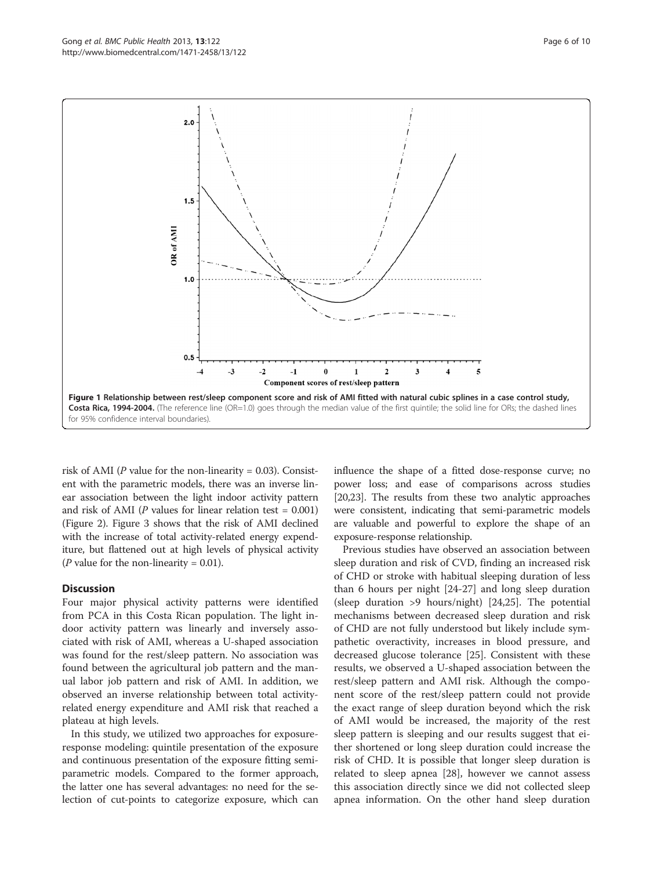<span id="page-6-0"></span>

risk of AMI ( $P$  value for the non-linearity = 0.03). Consistent with the parametric models, there was an inverse linear association between the light indoor activity pattern and risk of AMI ( $P$  values for linear relation test = 0.001) (Figure [2](#page-7-0)). Figure [3](#page-8-0) shows that the risk of AMI declined with the increase of total activity-related energy expenditure, but flattened out at high levels of physical activity (*P* value for the non-linearity =  $0.01$ ).

## **Discussion**

Four major physical activity patterns were identified from PCA in this Costa Rican population. The light indoor activity pattern was linearly and inversely associated with risk of AMI, whereas a U-shaped association was found for the rest/sleep pattern. No association was found between the agricultural job pattern and the manual labor job pattern and risk of AMI. In addition, we observed an inverse relationship between total activityrelated energy expenditure and AMI risk that reached a plateau at high levels.

In this study, we utilized two approaches for exposureresponse modeling: quintile presentation of the exposure and continuous presentation of the exposure fitting semiparametric models. Compared to the former approach, the latter one has several advantages: no need for the selection of cut-points to categorize exposure, which can influence the shape of a fitted dose-response curve; no power loss; and ease of comparisons across studies [[20,23](#page-9-0)]. The results from these two analytic approaches were consistent, indicating that semi-parametric models are valuable and powerful to explore the shape of an exposure-response relationship.

Previous studies have observed an association between sleep duration and risk of CVD, finding an increased risk of CHD or stroke with habitual sleeping duration of less than 6 hours per night [\[24](#page-9-0)-[27\]](#page-9-0) and long sleep duration (sleep duration >9 hours/night) [[24,25\]](#page-9-0). The potential mechanisms between decreased sleep duration and risk of CHD are not fully understood but likely include sympathetic overactivity, increases in blood pressure, and decreased glucose tolerance [\[25](#page-9-0)]. Consistent with these results, we observed a U-shaped association between the rest/sleep pattern and AMI risk. Although the component score of the rest/sleep pattern could not provide the exact range of sleep duration beyond which the risk of AMI would be increased, the majority of the rest sleep pattern is sleeping and our results suggest that either shortened or long sleep duration could increase the risk of CHD. It is possible that longer sleep duration is related to sleep apnea [[28\]](#page-9-0), however we cannot assess this association directly since we did not collected sleep apnea information. On the other hand sleep duration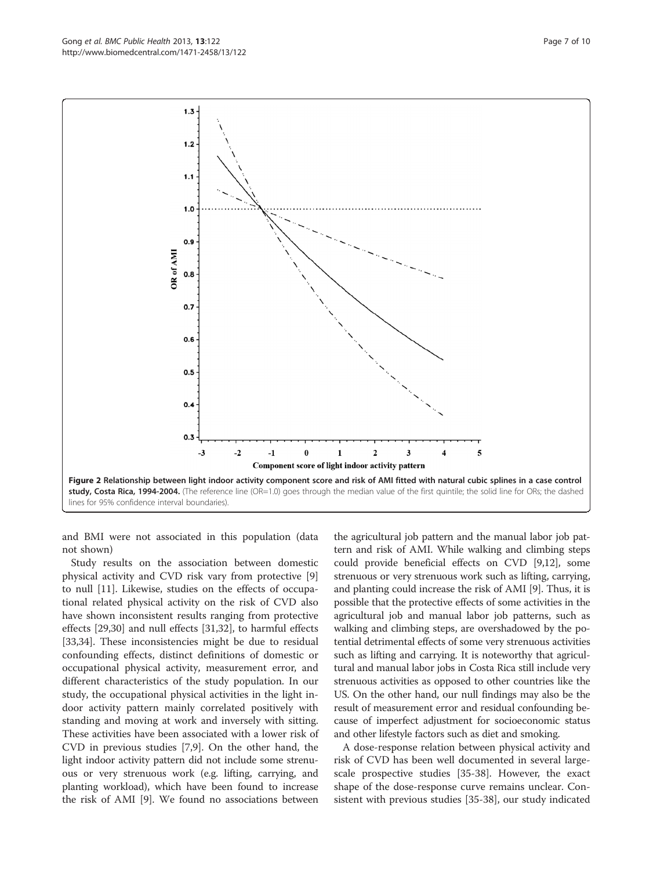and BMI were not associated in this population (data not shown)

Study results on the association between domestic physical activity and CVD risk vary from protective [\[9](#page-9-0)] to null [\[11\]](#page-9-0). Likewise, studies on the effects of occupational related physical activity on the risk of CVD also have shown inconsistent results ranging from protective effects [\[29,30\]](#page-9-0) and null effects [\[31,32\]](#page-9-0), to harmful effects [[33,](#page-9-0)[34\]](#page-10-0). These inconsistencies might be due to residual confounding effects, distinct definitions of domestic or occupational physical activity, measurement error, and different characteristics of the study population. In our study, the occupational physical activities in the light indoor activity pattern mainly correlated positively with standing and moving at work and inversely with sitting. These activities have been associated with a lower risk of CVD in previous studies [[7,9\]](#page-9-0). On the other hand, the light indoor activity pattern did not include some strenuous or very strenuous work (e.g. lifting, carrying, and planting workload), which have been found to increase the risk of AMI [[9\]](#page-9-0). We found no associations between

the agricultural job pattern and the manual labor job pattern and risk of AMI. While walking and climbing steps could provide beneficial effects on CVD [[9,12](#page-9-0)], some strenuous or very strenuous work such as lifting, carrying, and planting could increase the risk of AMI [[9\]](#page-9-0). Thus, it is possible that the protective effects of some activities in the agricultural job and manual labor job patterns, such as walking and climbing steps, are overshadowed by the potential detrimental effects of some very strenuous activities such as lifting and carrying. It is noteworthy that agricultural and manual labor jobs in Costa Rica still include very strenuous activities as opposed to other countries like the US. On the other hand, our null findings may also be the result of measurement error and residual confounding because of imperfect adjustment for socioeconomic status and other lifestyle factors such as diet and smoking.

A dose-response relation between physical activity and risk of CVD has been well documented in several largescale prospective studies [\[35-38](#page-10-0)]. However, the exact shape of the dose-response curve remains unclear. Consistent with previous studies [\[35](#page-10-0)-[38\]](#page-10-0), our study indicated

<span id="page-7-0"></span>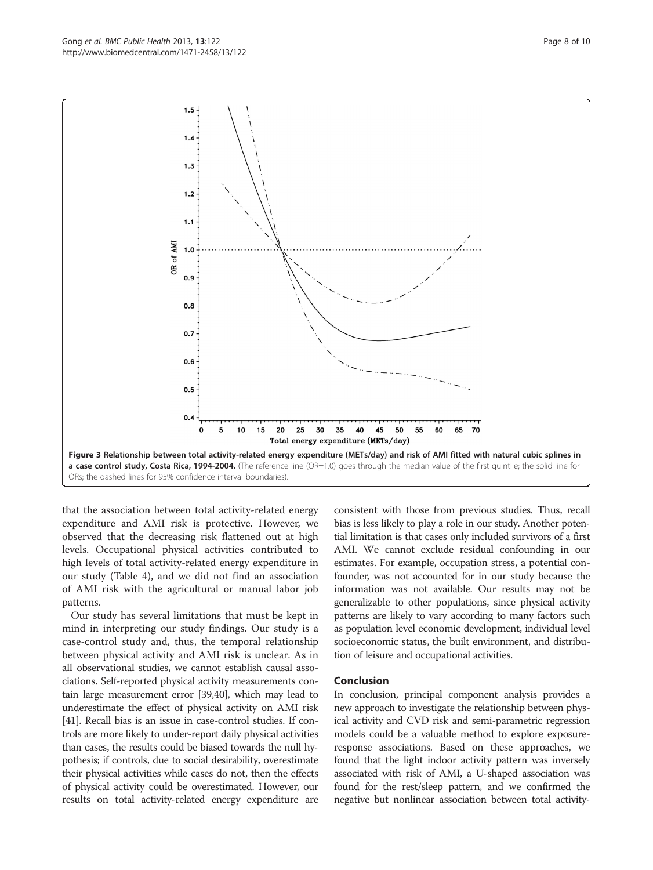that the association between total activity-related energy expenditure and AMI risk is protective. However, we observed that the decreasing risk flattened out at high levels. Occupational physical activities contributed to high levels of total activity-related energy expenditure in our study (Table [4\)](#page-4-0), and we did not find an association of AMI risk with the agricultural or manual labor job patterns.

Our study has several limitations that must be kept in mind in interpreting our study findings. Our study is a case-control study and, thus, the temporal relationship between physical activity and AMI risk is unclear. As in all observational studies, we cannot establish causal associations. Self-reported physical activity measurements contain large measurement error [[39,40\]](#page-10-0), which may lead to underestimate the effect of physical activity on AMI risk [[41](#page-10-0)]. Recall bias is an issue in case-control studies. If controls are more likely to under-report daily physical activities than cases, the results could be biased towards the null hypothesis; if controls, due to social desirability, overestimate their physical activities while cases do not, then the effects of physical activity could be overestimated. However, our results on total activity-related energy expenditure are

consistent with those from previous studies. Thus, recall bias is less likely to play a role in our study. Another potential limitation is that cases only included survivors of a first AMI. We cannot exclude residual confounding in our estimates. For example, occupation stress, a potential confounder, was not accounted for in our study because the information was not available. Our results may not be generalizable to other populations, since physical activity patterns are likely to vary according to many factors such as population level economic development, individual level socioeconomic status, the built environment, and distribution of leisure and occupational activities.

## Conclusion

In conclusion, principal component analysis provides a new approach to investigate the relationship between physical activity and CVD risk and semi-parametric regression models could be a valuable method to explore exposureresponse associations. Based on these approaches, we found that the light indoor activity pattern was inversely associated with risk of AMI, a U-shaped association was found for the rest/sleep pattern, and we confirmed the negative but nonlinear association between total activity-

<span id="page-8-0"></span>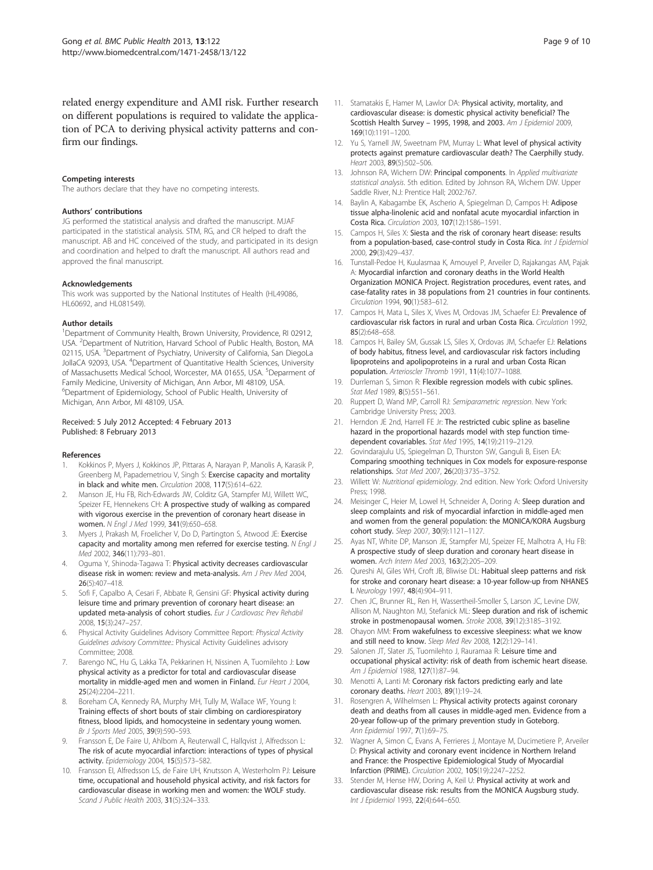<span id="page-9-0"></span>related energy expenditure and AMI risk. Further research on different populations is required to validate the application of PCA to deriving physical activity patterns and confirm our findings.

#### Competing interests

The authors declare that they have no competing interests.

#### Authors' contributions

JG performed the statistical analysis and drafted the manuscript. MJAF participated in the statistical analysis. STM, RG, and CR helped to draft the manuscript. AB and HC conceived of the study, and participated in its design and coordination and helped to draft the manuscript. All authors read and approved the final manuscript.

#### Acknowledgements

This work was supported by the National Institutes of Health (HL49086, HL60692, and HL081549).

#### Author details

<sup>1</sup>Department of Community Health, Brown University, Providence, RI 02912, USA. <sup>2</sup>Department of Nutrition, Harvard School of Public Health, Boston, MA 02115, USA. <sup>3</sup>Department of Psychiatry, University of California, San DiegoLa JollaCA 92093, USA. <sup>4</sup>Department of Quantitative Health Sciences, University of Massachusetts Medical School, Worcester, MA 01655, USA. <sup>5</sup>Deparment of Family Medicine, University of Michigan, Ann Arbor, MI 48109, USA. 6 Department of Epidemiology, School of Public Health, University of Michigan, Ann Arbor, MI 48109, USA.

#### Received: 5 July 2012 Accepted: 4 February 2013 Published: 8 February 2013

#### References

- 1. Kokkinos P, Myers J, Kokkinos JP, Pittaras A, Narayan P, Manolis A, Karasik P, Greenberg M, Papademetriou V, Singh S: Exercise capacity and mortality in black and white men. Circulation 2008, 117(5):614–622.
- 2. Manson JE, Hu FB, Rich-Edwards JW, Colditz GA, Stampfer MJ, Willett WC, Speizer FE, Hennekens CH: A prospective study of walking as compared with vigorous exercise in the prevention of coronary heart disease in women. N Engl J Med 1999, 341(9):650–658.
- 3. Myers J, Prakash M, Froelicher V, Do D, Partington S, Atwood JE: Exercise capacity and mortality among men referred for exercise testing. N Engl J Med 2002, 346(11):793–801.
- Oguma Y, Shinoda-Tagawa T: Physical activity decreases cardiovascular disease risk in women: review and meta-analysis. Am J Prev Med 2004, 26(5):407–418.
- 5. Sofi F, Capalbo A, Cesari F, Abbate R, Gensini GF: Physical activity during leisure time and primary prevention of coronary heart disease: an updated meta-analysis of cohort studies. Eur J Cardiovasc Prev Rehabil 2008, 15(3):247–257.
- **Physical Activity Guidelines Advisory Committee Report: Physical Activity** Guidelines advisory Committee.: Physical Activity Guidelines advisory Committee; 2008.
- 7. Barengo NC, Hu G, Lakka TA, Pekkarinen H, Nissinen A, Tuomilehto J: Low physical activity as a predictor for total and cardiovascular disease mortality in middle-aged men and women in Finland. Eur Heart J 2004, 25(24):2204–2211.
- Boreham CA, Kennedy RA, Murphy MH, Tully M, Wallace WF, Young I: Training effects of short bouts of stair climbing on cardiorespiratory fitness, blood lipids, and homocysteine in sedentary young women. Br J Sports Med 2005, 39(9):590–593.
- 9. Fransson E, De Faire U, Ahlbom A, Reuterwall C, Hallqvist J, Alfredsson L: The risk of acute myocardial infarction: interactions of types of physical activity. Epidemiology 2004, 15(5):573–582.
- 10. Fransson EI, Alfredsson LS, de Faire UH, Knutsson A, Westerholm PJ: Leisure time, occupational and household physical activity, and risk factors for cardiovascular disease in working men and women: the WOLF study. Scand J Public Health 2003, 31(5):324–333.
- 11. Stamatakis E, Hamer M, Lawlor DA: Physical activity, mortality, and cardiovascular disease: is domestic physical activity beneficial? The Scottish Health Survey - 1995, 1998, and 2003. Am J Epidemiol 2009, 169(10):1191–1200.
- 12. Yu S, Yarnell JW, Sweetnam PM, Murray L: What level of physical activity protects against premature cardiovascular death? The Caerphilly study. Heart 2003, 89(5):502–506.
- 13. Johnson RA, Wichern DW: Principal components. In Applied multivariate statistical analysis. 5th edition. Edited by Johnson RA, Wichern DW. Upper Saddle River, N.J: Prentice Hall; 2002:767.
- 14. Baylin A, Kabagambe EK, Ascherio A, Spiegelman D, Campos H: Adipose tissue alpha-linolenic acid and nonfatal acute myocardial infarction in Costa Rica. Circulation 2003, 107(12):1586–1591.
- 15. Campos H, Siles X: Siesta and the risk of coronary heart disease: results from a population-based, case-control study in Costa Rica. Int J Epidemiol 2000, 29(3):429–437.
- 16. Tunstall-Pedoe H, Kuulasmaa K, Amouyel P, Arveiler D, Rajakangas AM, Pajak A: Myocardial infarction and coronary deaths in the World Health Organization MONICA Project. Registration procedures, event rates, and case-fatality rates in 38 populations from 21 countries in four continents. Circulation 1994, 90(1):583–612.
- 17. Campos H, Mata L, Siles X, Vives M, Ordovas JM, Schaefer EJ: Prevalence of cardiovascular risk factors in rural and urban Costa Rica. Circulation 1992, 85(2):648–658.
- 18. Campos H, Bailey SM, Gussak LS, Siles X, Ordovas JM, Schaefer EJ: Relations of body habitus, fitness level, and cardiovascular risk factors including lipoproteins and apolipoproteins in a rural and urban Costa Rican population. Arterioscler Thromb 1991, 11(4):1077-1088.
- 19. Durrleman S, Simon R: Flexible regression models with cubic splines. Stat Med 1989, 8(5):551–561.
- 20. Ruppert D, Wand MP, Carroll RJ: Semiparametric regression. New York: Cambridge University Press; 2003.
- 21. Herndon JE 2nd, Harrell FE Jr: The restricted cubic spline as baseline hazard in the proportional hazards model with step function timedependent covariables. Stat Med 1995, 14(19):2119–2129.
- 22. Govindarajulu US, Spiegelman D, Thurston SW, Ganguli B, Eisen EA: Comparing smoothing techniques in Cox models for exposure-response relationships. Stat Med 2007, 26(20):3735–3752.
- 23. Willett W: Nutritional epidemiology. 2nd edition. New York: Oxford University Press; 1998.
- 24. Meisinger C, Heier M, Lowel H, Schneider A, Doring A: Sleep duration and sleep complaints and risk of myocardial infarction in middle-aged men and women from the general population: the MONICA/KORA Augsburg cohort study. Sleep 2007, 30(9):1121–1127.
- 25. Ayas NT, White DP, Manson JE, Stampfer MJ, Speizer FE, Malhotra A, Hu FB: A prospective study of sleep duration and coronary heart disease in women. Arch Intern Med 2003, 163(2):205–209.
- 26. Qureshi AI, Giles WH, Croft JB, Bliwise DL: Habitual sleep patterns and risk for stroke and coronary heart disease: a 10-year follow-up from NHANES I. Neurology 1997, 48(4):904–911.
- 27. Chen JC, Brunner RL, Ren H, Wassertheil-Smoller S, Larson JC, Levine DW, Allison M, Naughton MJ, Stefanick ML: Sleep duration and risk of ischemic stroke in postmenopausal women. Stroke 2008, 39(12):3185–3192.
- 28. Ohayon MM: From wakefulness to excessive sleepiness: what we know and still need to know. Sleep Med Rev 2008, 12(2):129–141.
- 29. Salonen JT, Slater JS, Tuomilehto J, Rauramaa R: Leisure time and occupational physical activity: risk of death from ischemic heart disease. Am J Epidemiol 1988, 127(1):87-94.
- 30. Menotti A, Lanti M: Coronary risk factors predicting early and late coronary deaths. Heart 2003, 89(1):19–24.
- 31. Rosengren A, Wilhelmsen L: Physical activity protects against coronary death and deaths from all causes in middle-aged men. Evidence from a 20-year follow-up of the primary prevention study in Goteborg. Ann Epidemiol 1997, 7(1):69–75.
- 32. Wagner A, Simon C, Evans A, Ferrieres J, Montaye M, Ducimetiere P, Arveiler D: Physical activity and coronary event incidence in Northern Ireland and France: the Prospective Epidemiological Study of Myocardial Infarction (PRIME). Circulation 2002, 105(19):2247–2252.
- 33. Stender M, Hense HW, Doring A, Keil U: Physical activity at work and cardiovascular disease risk: results from the MONICA Augsburg study. Int J Epidemiol 1993, 22(4):644–650.